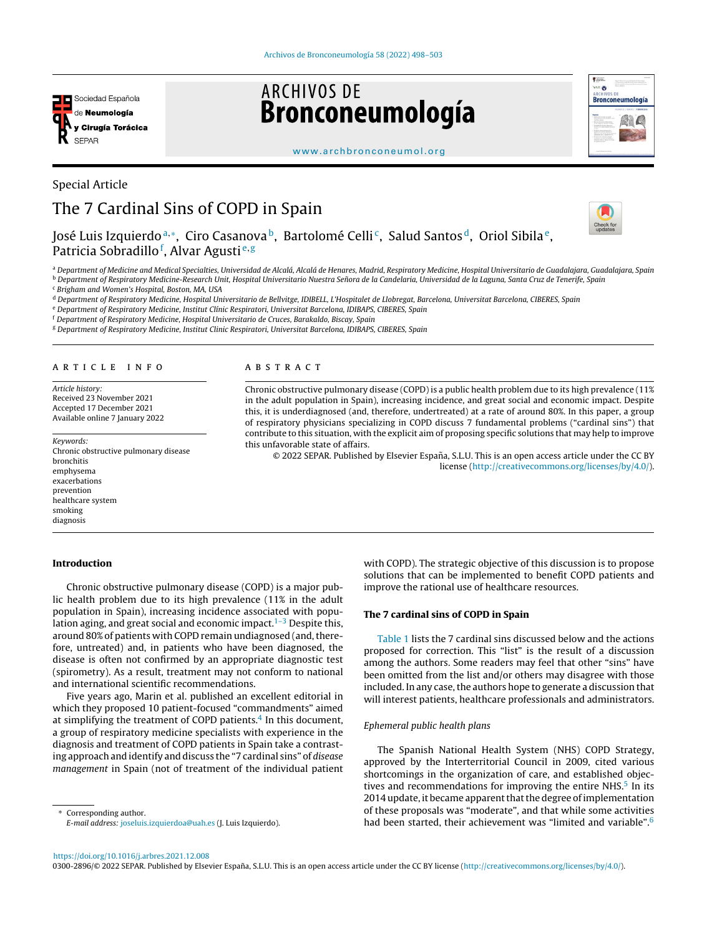

Special Article

# **ARCHIVOS DE Bronconeumología**



#### [www.archbronconeumol.org](http://www.archbronconeumol.org)

# The 7 Cardinal Sins of COPD in Spain



José Luis Izquierdoª,\*, Ciro Casanova b, Bartolomé Celli¢, Salud Santos d, Oriol Sibila e, J Patricia Sobradillo<sup>f</sup>, Alvar Agusti<sup>e, g</sup>

a Department of Medicine and Medical Specialties, Universidad de Alcalá, Alcalá de Henares, Madrid, Respiratory Medicine, Hospital Universitario de Guadalajara, Guadalajara, Spain <sup>b</sup> Department of Respiratory Medicine-Research Unit, Hospital Universitario Nuestra Señora de la Candelaria, Universidad de la Laguna, Santa Cruz de Tenerife, Spain

<sup>c</sup> Brigham and Women's Hospital, Boston, MA, USA

<sup>d</sup> Department of Respiratory Medicine, Hospital Universitario de Bellvitge, IDIBELL, L'Hospitalet de Llobregat, Barcelona, Universitat Barcelona, CIBERES, Spain

e Department of Respiratory Medicine, Institut Clínic Respiratori, Universitat Barcelona, IDIBAPS, CIBERES, Spain

<sup>f</sup> Department of Respiratory Medicine, Hospital Universitario de Cruces, Barakaldo, Biscay, Spain

<sup>g</sup> Department of Respiratory Medicine, Institut Clinic Respiratori, Universitat Barcelona, IDIBAPS, CIBERES, Spain

# a r t i c l e i n f o

Article history: Received 23 November 2021 Accepted 17 December 2021 Available online 7 January 2022

Keywords: Chronic obstructive pulmonary disease bronchitis emphysema exacerbations prevention healthcare system smoking diagnosis

# Introduction

# Chronic obstructive pulmonary disease (COPD) is a major public health problem due to its high prevalence (11% in the adult population in Spain), increasing incidence associated with popu-lation aging, and great social and economic impact.<sup>[1–3](#page-4-0)</sup> Despite this, around 80% of patients with COPD remain undiagnosed (and, therefore, untreated) and, in patients who have been diagnosed, the disease is often not confirmed by an appropriate diagnostic test (spirometry). As a result, treatment may not conform to national and international scientific recommendations.

Five years ago, Marin et al. published an excellent editorial in which they proposed 10 patient-focused "commandments" aimed at simplifying the treatment of COPD patients.<sup>[4](#page-4-0)</sup> In this document, a group of respiratory medicine specialists with experience in the diagnosis and treatment of COPD patients in Spain take a contrasting approach and identify and discuss the "7 cardinal sins" of disease management in Spain (not of treatment of the individual patient

<sup>∗</sup> Corresponding author. E-mail address: [joseluis.izquierdoa@uah.es](mailto:joseluis.izquierdoa@uah.es) (J. Luis Izquierdo).

A B S T R A C T

Chronic obstructive pulmonary disease (COPD) is a public health problem due to its high prevalence (11% in the adult population in Spain), increasing incidence, and great social and economic impact. Despite this, it is underdiagnosed (and, therefore, undertreated) at a rate of around 80%. In this paper, a group of respiratory physicians specializing in COPD discuss 7 fundamental problems ("cardinal sins") that contribute to this situation, with the explicit aim of proposing specific solutions that may help to improve this unfavorable state of affairs.

© 2022 SEPAR. Published by Elsevier España, S.L.U. This is an open access article under the CC BY license ([http://creativecommons.org/licenses/by/4.0/\)](http://creativecommons.org/licenses/by/4.0/).

> with COPD). The strategic objective of this discussion is to propose solutions that can be implemented to benefit COPD patients and improve the rational use of healthcare resources.

# The 7 cardinal sins of COPD in Spain

[Table](#page-1-0) 1 lists the 7 cardinal sins discussed below and the actions proposed for correction. This "list" is the result of a discussion among the authors. Some readers may feel that other "sins" have been omitted from the list and/or others may disagree with those included. In any case, the authors hope to generate a discussion that will interest patients, healthcare professionals and administrators.

### Ephemeral public health plans

The Spanish National Health System (NHS) COPD Strategy, approved by the Interterritorial Council in 2009, cited various shortcomings in the organization of care, and established objectives and recommendations for improving the entire NHS. $<sup>5</sup>$  $<sup>5</sup>$  $<sup>5</sup>$  In its</sup> 2014 update, it became apparent that the degree of implementation of these proposals was "moderate", and that while some activities had been started, their achievement was "limited and variable".[6](#page-4-0)

<https://doi.org/10.1016/j.arbres.2021.12.008>

0300-2896/© 2022 SEPAR. Published by Elsevier España, S.L.U. This is an open access article under the CC BY license [\(http://creativecommons.org/licenses/by/4.0/](http://creativecommons.org/licenses/by/4.0/)).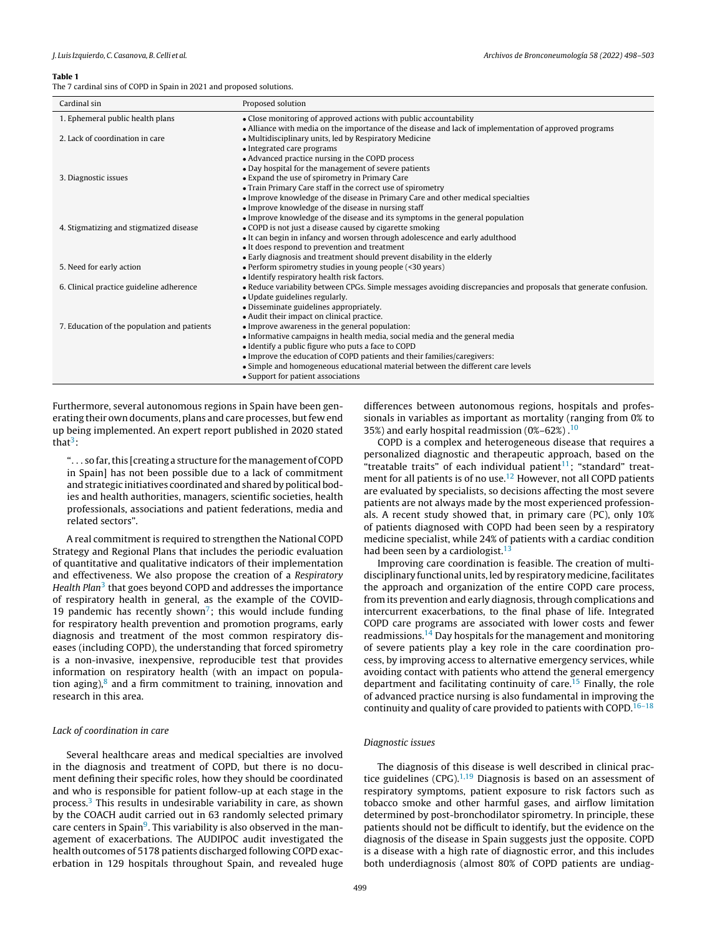#### <span id="page-1-0"></span>Table 1

The 7 cardinal sins of COPD in Spain in 2021 and proposed solutions.

| Cardinal sin                                | Proposed solution                                                                                                |
|---------------------------------------------|------------------------------------------------------------------------------------------------------------------|
| 1. Ephemeral public health plans            | • Close monitoring of approved actions with public accountability                                                |
|                                             | • Alliance with media on the importance of the disease and lack of implementation of approved programs           |
| 2. Lack of coordination in care             | • Multidisciplinary units, led by Respiratory Medicine                                                           |
|                                             | • Integrated care programs                                                                                       |
|                                             | • Advanced practice nursing in the COPD process                                                                  |
|                                             | • Day hospital for the management of severe patients                                                             |
| 3. Diagnostic issues                        | • Expand the use of spirometry in Primary Care                                                                   |
|                                             | • Train Primary Care staff in the correct use of spirometry                                                      |
|                                             | • Improve knowledge of the disease in Primary Care and other medical specialties                                 |
|                                             | • Improve knowledge of the disease in nursing staff                                                              |
|                                             | • Improve knowledge of the disease and its symptoms in the general population                                    |
| 4. Stigmatizing and stigmatized disease     | • COPD is not just a disease caused by cigarette smoking                                                         |
|                                             | • It can begin in infancy and worsen through adolescence and early adulthood                                     |
|                                             | • It does respond to prevention and treatment                                                                    |
|                                             | • Early diagnosis and treatment should prevent disability in the elderly                                         |
| 5. Need for early action                    | • Perform spirometry studies in young people (<30 years)                                                         |
|                                             | • Identify respiratory health risk factors.                                                                      |
| 6. Clinical practice guideline adherence    | • Reduce variability between CPGs. Simple messages avoiding discrepancies and proposals that generate confusion. |
|                                             | • Update guidelines regularly.                                                                                   |
|                                             | • Disseminate guidelines appropriately.                                                                          |
|                                             | • Audit their impact on clinical practice.                                                                       |
| 7. Education of the population and patients | • Improve awareness in the general population:                                                                   |
|                                             | • Informative campaigns in health media, social media and the general media                                      |
|                                             | • Identify a public figure who puts a face to COPD                                                               |
|                                             | • Improve the education of COPD patients and their families/caregivers:                                          |
|                                             | • Simple and homogeneous educational material between the different care levels                                  |
|                                             | • Support for patient associations                                                                               |

Furthermore, several autonomous regions in Spain have been generating their own documents, plans and care processes, but few end up being implemented. An expert report published in 2020 stated that<sup>3</sup>[:](#page-4-0)

". . . so far,this [creating a structure for themanagement of COPD in Spain] has not been possible due to a lack of commitment and strategic initiatives coordinated and shared by political bodies and health authorities, managers, scientific societies, health professionals, associations and patient federations, media and related sectors".

A real commitment is required to strengthen the National COPD Strategy and Regional Plans that includes the periodic evaluation of quantitative and qualitative indicators of their implementation and effectiveness. We also propose the creation of a Respiratory Health Plan<sup>[3](#page-4-0)</sup> that goes beyond COPD and addresses the importance of respiratory health in general, as the example of the COVID-19 pandemic has recently shown<sup>7</sup>[;](#page-4-0) this would include funding for respiratory health prevention and promotion programs, early diagnosis and treatment of the most common respiratory diseases (including COPD), the understanding that forced spirometry is a non-invasive, inexpensive, reproducible test that provides information on respiratory health (with an impact on population aging), $8$  and a firm commitment to training, innovation and research in this area.

# Lack of coordination in care

Several healthcare areas and medical specialties are involved in the diagnosis and treatment of COPD, but there is no document defining their specific roles, how they should be coordinated and who is responsible for patient follow-up at each stage in the process.[3](#page-4-0) This results in undesirable variability in care, as shown by the COACH audit carried out in 63 randomly selected primary care centers in Spain<sup>[9](#page-4-0)</sup>. This variability is also observed in the management of exacerbations. The AUDIPOC audit investigated the health outcomes of 5178 patients discharged following COPD exacerbation in 129 hospitals throughout Spain, and revealed huge

differences between autonomous regions, hospitals and professionals in variables as important as mortality (ranging from 0% to 35%) and early hospital readmission  $(0\% - 62\%)$ .<sup>[10](#page-4-0)</sup>

COPD is a complex and heterogeneous disease that requires a personalized diagnostic and therapeutic approach, based on the "treatable traits" of each individual patient<sup>[11](#page-4-0)</sup>; "standard" treat-ment for all patients is of no use.<sup>[12](#page-4-0)</sup> However, not all COPD patients are evaluated by specialists, so decisions affecting the most severe patients are not always made by the most experienced professionals. A recent study showed that, in primary care (PC), only 10% of patients diagnosed with COPD had been seen by a respiratory medicine specialist, while 24% of patients with a cardiac condition had been seen by a cardiologist. $13$ 

Improving care coordination is feasible. The creation of multidisciplinary functional units, led by respiratory medicine, facilitates the approach and organization of the entire COPD care process, from its prevention and early diagnosis, through complications and intercurrent exacerbations, to the final phase of life. Integrated COPD care programs are associated with lower costs and fewer readmissions.<sup>[14](#page-4-0)</sup> Day hospitals for the management and monitoring of severe patients play a key role in the care coordination process, by improving access to alternative emergency services, while avoiding contact with patients who attend the general emergency department and facilitating continuity of care.<sup>[15](#page-4-0)</sup> Finally, the role of advanced practice nursing is also fundamental in improving the continuity and quality of care provided to patients with COPD.<sup>16-18</sup>

# Diagnostic issues

The diagnosis of this disease is well described in clinical practice guidelines  $(CPG)$ <sup>[1,19](#page-4-0)</sup> Diagnosis is based on an assessment of respiratory symptoms, patient exposure to risk factors such as tobacco smoke and other harmful gases, and airflow limitation determined by post-bronchodilator spirometry. In principle, these patients should not be difficult to identify, but the evidence on the diagnosis of the disease in Spain suggests just the opposite. COPD is a disease with a high rate of diagnostic error, and this includes both underdiagnosis (almost 80% of COPD patients are undiag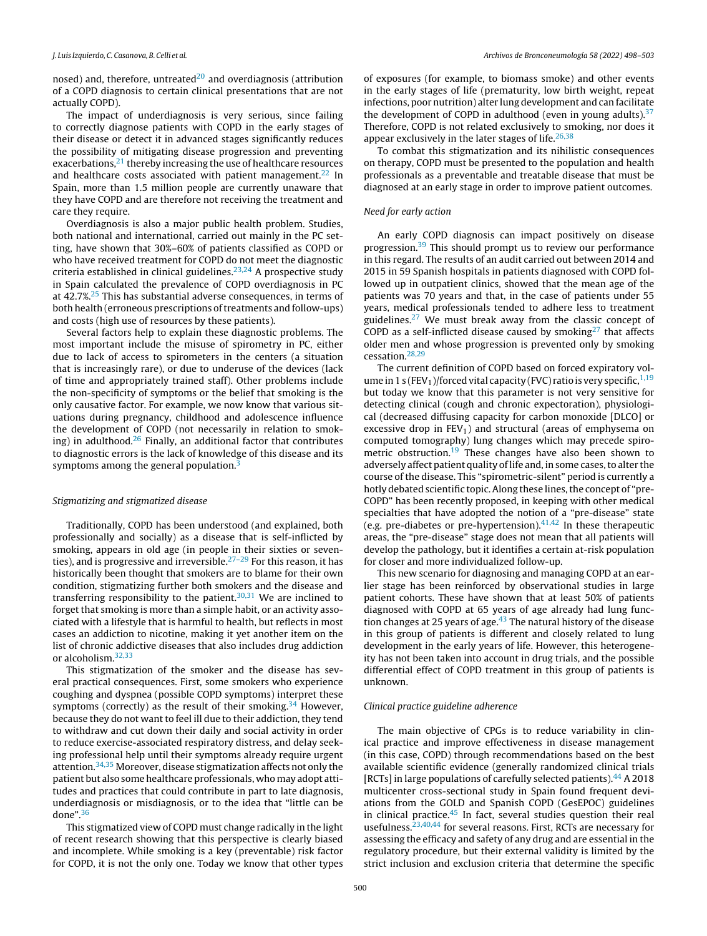nosed) and, therefore, untreated $^{20}$  $^{20}$  $^{20}$  and overdiagnosis (attribution of a COPD diagnosis to certain clinical presentations that are not actually COPD).

The impact of underdiagnosis is very serious, since failing to correctly diagnose patients with COPD in the early stages of their disease or detect it in advanced stages significantly reduces the possibility of mitigating disease progression and preventing exacerbations, $21$  thereby increasing the use of healthcare resources and healthcare costs associated with patient management.<sup>[22](#page-4-0)</sup> In Spain, more than 1.5 million people are currently unaware that they have COPD and are therefore not receiving the treatment and care they require.

Overdiagnosis is also a major public health problem. Studies, both national and international, carried out mainly in the PC setting, have shown that 30%–60% of patients classified as COPD or who have received treatment for COPD do not meet the diagnostic criteria established in clinical guidelines.<sup>[23,24](#page-4-0)</sup> A prospective study in Spain calculated the prevalence of COPD overdiagnosis in PC at 42.7%.<sup>[25](#page-4-0)</sup> This has substantial adverse consequences, in terms of both health (erroneous prescriptions of treatments and follow-ups) and costs (high use of resources by these patients).

Several factors help to explain these diagnostic problems. The most important include the misuse of spirometry in PC, either due to lack of access to spirometers in the centers (a situation that is increasingly rare), or due to underuse of the devices (lack of time and appropriately trained staff). Other problems include the non-specificity of symptoms or the belief that smoking is the only causative factor. For example, we now know that various situations during pregnancy, childhood and adolescence influence the development of COPD (not necessarily in relation to smoking) in adulthood. $26$  Finally, an additional factor that contributes to diagnostic errors is the lack of knowledge of this disease and its symptoms among the general population.<sup>[3](#page-4-0)</sup>

# Stigmatizing and stigmatized disease

Traditionally, COPD has been understood (and explained, both professionally and socially) as a disease that is self-inflicted by smoking, appears in old age (in people in their sixties or seventies), and is progressive and irreversible. $27-29$  For this reason, it has historically been thought that smokers are to blame for their own condition, stigmatizing further both smokers and the disease and transferring responsibility to the patient. $30,31$  We are inclined to forget that smoking is more than a simple habit, or an activity associated with a lifestyle that is harmful to health, but reflects in most cases an addiction to nicotine, making it yet another item on the list of chronic addictive diseases that also includes drug addiction or alcoholism.[32,33](#page-4-0)

This stigmatization of the smoker and the disease has several practical consequences. First, some smokers who experience coughing and dyspnea (possible COPD symptoms) interpret these symptoms (correctly) as the result of their smoking. $34$  However, because they do not want to feel ill due to their addiction, they tend to withdraw and cut down their daily and social activity in order to reduce exercise-associated respiratory distress, and delay seeking professional help until their symptoms already require urgent attention.<sup>[34,35](#page-4-0)</sup> Moreover, disease stigmatization affects not only the patient but also some healthcare professionals, who may adopt attitudes and practices that could contribute in part to late diagnosis, underdiagnosis or misdiagnosis, or to the idea that "little can be done".[36](#page-4-0)

This stigmatized view of COPD must change radically in the light of recent research showing that this perspective is clearly biased and incomplete. While smoking is a key (preventable) risk factor for COPD, it is not the only one. Today we know that other types

of exposures (for example, to biomass smoke) and other events in the early stages of life (prematurity, low birth weight, repeat infections, poor nutrition) alter lung development and can facilitate the development of COPD in adulthood (even in young adults). $37$ Therefore, COPD is not related exclusively to smoking, nor does it appear exclusively in the later stages of life. $26,38$ 

To combat this stigmatization and its nihilistic consequences on therapy, COPD must be presented to the population and health professionals as a preventable and treatable disease that must be diagnosed at an early stage in order to improve patient outcomes.

# Need for early action

An early COPD diagnosis can impact positively on disease progression.<sup>[39](#page-4-0)</sup> This should prompt us to review our performance in this regard. The results of an audit carried out between 2014 and 2015 in 59 Spanish hospitals in patients diagnosed with COPD followed up in outpatient clinics, showed that the mean age of the patients was 70 years and that, in the case of patients under 55 years, medical professionals tended to adhere less to treatment guidelines.[27](#page-4-0) We must break away from the classic concept of COPD as a self-inflicted disease caused by smoking $27$  that affects older men and whose progression is prevented only by smoking cessation.[28,29](#page-4-0)

The current definition of COPD based on forced expiratory volume in 1 s (FEV<sub>1</sub>)/forced vital capacity (FVC) ratio is very specific,  $1,19$ but today we know that this parameter is not very sensitive for detecting clinical (cough and chronic expectoration), physiological (decreased diffusing capacity for carbon monoxide [DLCO] or excessive drop in  $FEV<sub>1</sub>$ ) and structural (areas of emphysema on computed tomography) lung changes which may precede spiro-metric obstruction.<sup>[19](#page-4-0)</sup> These changes have also been shown to adversely affect patient quality of life and, in some cases, to alter the course of the disease. This "spirometric-silent" period is currently a hotly debated scientific topic. Along these lines, the concept of "pre-COPD" has been recently proposed, in keeping with other medical specialties that have adopted the notion of a "pre-disease" state (e.g. pre-diabetes or pre-hypertension). $41,42$  In these therapeutic areas, the "pre-disease" stage does not mean that all patients will develop the pathology, but it identifies a certain at-risk population for closer and more individualized follow-up.

This new scenario for diagnosing and managing COPD at an earlier stage has been reinforced by observational studies in large patient cohorts. These have shown that at least 50% of patients diagnosed with COPD at 65 years of age already had lung function changes at 25 years of age. $43$  The natural history of the disease in this group of patients is different and closely related to lung development in the early years of life. However, this heterogeneity has not been taken into account in drug trials, and the possible differential effect of COPD treatment in this group of patients is unknown.

# Clinical practice guideline adherence

The main objective of CPGs is to reduce variability in clinical practice and improve effectiveness in disease management (in this case, COPD) through recommendations based on the best available scientific evidence (generally randomized clinical trials [RCTs] in large populations of carefully selected patients). $44$  A 2018 multicenter cross-sectional study in Spain found frequent deviations from the GOLD and Spanish COPD (GesEPOC) guidelines in clinical practice.[45](#page-4-0) In fact, several studies question their real usefulness.<sup>[23,40,44](#page-4-0)</sup> for several reasons. First, RCTs are necessary for assessing the efficacy and safety of any drug and are essential in the regulatory procedure, but their external validity is limited by the strict inclusion and exclusion criteria that determine the specific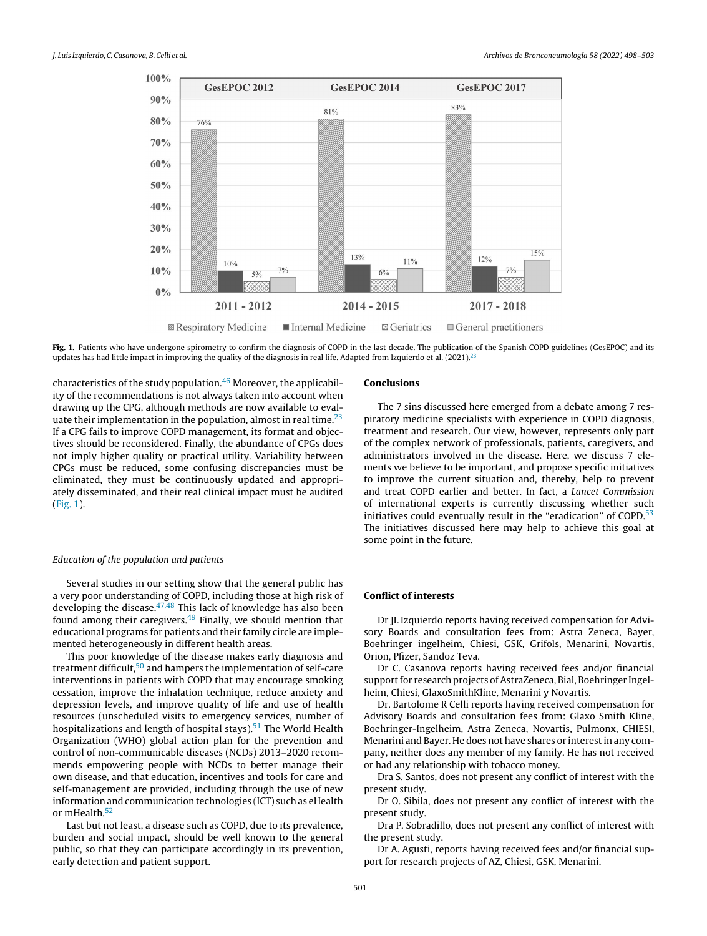

Fig. 1. Patients who have undergone spirometry to confirm the diagnosis of COPD in the last decade. The publication of the Spanish COPD guidelines (GesEPOC) and its updates has had little impact in improving the quality of the diagnosis in real life. Adapted from Izquierdo et al.  $(2021)^{22}$ 

characteristics of the study population. $46$  Moreover, the applicability of the recommendations is not always taken into account when drawing up the CPG, although methods are now available to evaluate their implementation in the population, almost in real time. $23$ If a CPG fails to improve COPD management, its format and objectives should be reconsidered. Finally, the abundance of CPGs does not imply higher quality or practical utility. Variability between CPGs must be reduced, some confusing discrepancies must be eliminated, they must be continuously updated and appropriately disseminated, and their real clinical impact must be audited (Fig. 1).

## Education of the population and patients

Several studies in our setting show that the general public has a very poor understanding of COPD, including those at high risk of developing the disease. $47,48$  This lack of knowledge has also been found among their caregivers.[49](#page-5-0) Finally, we should mention that educational programs for patients and their family circle are implemented heterogeneously in different health areas.

This poor knowledge of the disease makes early diagnosis and treatment difficult,<sup>[50](#page-5-0)</sup> and hampers the implementation of self-care interventions in patients with COPD that may encourage smoking cessation, improve the inhalation technique, reduce anxiety and depression levels, and improve quality of life and use of health resources (unscheduled visits to emergency services, number of hospitalizations and length of hospital stays).<sup>[51](#page-5-0)</sup> The World Health Organization (WHO) global action plan for the prevention and control of non-communicable diseases (NCDs) 2013–2020 recommends empowering people with NCDs to better manage their own disease, and that education, incentives and tools for care and self-management are provided, including through the use of new information and communication technologies (ICT) such as eHealth or mHealth.<sup>[52](#page-5-0)</sup>

Last but not least, a disease such as COPD, due to its prevalence, burden and social impact, should be well known to the general public, so that they can participate accordingly in its prevention, early detection and patient support.

#### Conclusions

The 7 sins discussed here emerged from a debate among 7 respiratory medicine specialists with experience in COPD diagnosis, treatment and research. Our view, however, represents only part of the complex network of professionals, patients, caregivers, and administrators involved in the disease. Here, we discuss 7 elements we believe to be important, and propose specific initiatives to improve the current situation and, thereby, help to prevent and treat COPD earlier and better. In fact, a Lancet Commission of international experts is currently discussing whether such initiatives could eventually result in the "eradication" of  $COPD<sup>53</sup>$  $COPD<sup>53</sup>$  $COPD<sup>53</sup>$ The initiatives discussed here may help to achieve this goal at some point in the future.

# Conflict of interests

Dr JL Izquierdo reports having received compensation for Advisory Boards and consultation fees from: Astra Zeneca, Bayer, Boehringer ingelheim, Chiesi, GSK, Grifols, Menarini, Novartis, Orion, Pfizer, Sandoz Teva.

Dr C. Casanova reports having received fees and/or financial support for research projects of AstraZeneca, Bial, Boehringer Ingelheim, Chiesi, GlaxoSmithKline, Menarini y Novartis.

Dr. Bartolome R Celli reports having received compensation for Advisory Boards and consultation fees from: Glaxo Smith Kline, Boehringer-Ingelheim, Astra Zeneca, Novartis, Pulmonx, CHIESI, Menarini and Bayer. He does not have shares or interest in any company, neither does any member of my family. He has not received or had any relationship with tobacco money.

Dra S. Santos, does not present any conflict of interest with the present study.

Dr O. Sibila, does not present any conflict of interest with the present study.

Dra P. Sobradillo, does not present any conflict of interest with the present study.

Dr A. Agusti, reports having received fees and/or financial support for research projects of AZ, Chiesi, GSK, Menarini.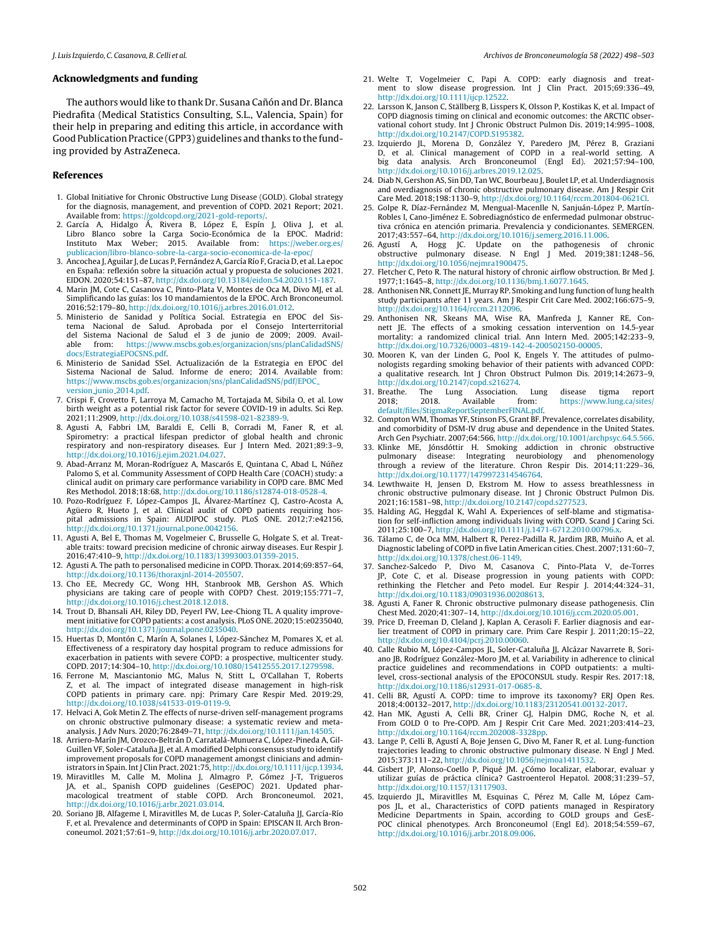### <span id="page-4-0"></span>Acknowledgments and funding

The authors would like to thank Dr. Susana Cañón and Dr. Blanca Piedrafita (Medical Statistics Consulting, S.L., Valencia, Spain) for their help in preparing and editing this article, in accordance with Good Publication Practice (GPP3) guidelines and thanks to the funding provided by AstraZeneca.

## References

- 1. Global Initiative for Chronic Obstructive Lung Disease (GOLD). Global strategy for the diagnosis, management, and prevention of COPD. 2021 Report; 2021. Available from: <https://goldcopd.org/2021-gold-reports/>.
- 2. García A, Hidalgo Á, Rivera B, López E, Espín J, Oliva J, et al. Libro Blanco sobre la Carga Socio-Económica de la EPOC. Madrid: Instituto Max Weber; 2015. Available from: [https://weber.org.es/](https://weber.org.es/publicacion/libro-blanco-sobre-la-carga-socio-economica-de-la-epoc/) [publicacion/libro-blanco-sobre-la-carga-socio-economica-de-la-epoc/](https://weber.org.es/publicacion/libro-blanco-sobre-la-carga-socio-economica-de-la-epoc/)
- 3. Ancochea J, Aguilar J, de Lucas P, Fernández A, García Río F, Gracia D, et al. La epoc en España: reflexión sobre la situación actual y propuesta de soluciones 2021.
- EIDON. 2020;54:151–87, [http://dx.doi.org/10.13184/eidon.54.2020.151-187.](dx.doi.org/10.13184/eidon.54.2020.151-187) 4. Marin JM, Cote C, Casanova C, Pinto-Plata V, Montes de Oca M, Divo MJ, et al. Simplificando las guías: los 10 mandamientos de la EPOC. Arch Bronconeumol. 2016;52:179–80, [http://dx.doi.org/10.1016/j.arbres.2016.01.012.](dx.doi.org/10.1016/j.arbres.2016.01.012)
- 5. Ministerio de Sanidad y Política Social. Estrategia en EPOC del Sistema Nacional de Salud. Aprobada por el Consejo Interterritorial del Sistema Nacional de Salud el 3 de junio de 2009; 2009. Available from: [https://www.mscbs.gob.es/organizacion/sns/planCalidadSNS/](https://www.mscbs.gob.es/organizacion/sns/planCalidadSNS/docs/EstrategiaEPOCSNS.pdf) [docs/EstrategiaEPOCSNS.pdf](https://www.mscbs.gob.es/organizacion/sns/planCalidadSNS/docs/EstrategiaEPOCSNS.pdf).
- 6. Ministerio de Sanidad SSeI. Actualización de la Estrategia en EPOC del Sistema Nacional de Salud. Informe de enero; 2014. Available from: [https://www.mscbs.gob.es/organizacion/sns/planCalidadSNS/pdf/EPOC](https://www.mscbs.gob.es/organizacion/sns/planCalidadSNS/pdf/EPOC_version_junio_2014.pdf) version junio [2014.pdf](https://www.mscbs.gob.es/organizacion/sns/planCalidadSNS/pdf/EPOC_version_junio_2014.pdf).
- 7. Crispi F, Crovetto F, Larroya M, Camacho M, Tortajada M, Sibila O, et al. Low birth weight as a potential risk factor for severe COVID-19 in adults. Sci Rep. 2021;11:2909, [http://dx.doi.org/10.1038/s41598-021-82389-9.](dx.doi.org/10.1038/s41598-021-82389-9)
- 8. Agusti A, Fabbri LM, Baraldi E, Celli B, Corradi M, Faner R, et al. Spirometry: a practical lifespan predictor of global health and chronic respiratory and non-respiratory diseases. Eur J Intern Med. 2021;89:3–9, [http://dx.doi.org/10.1016/j.ejim.2021.04.027](dx.doi.org/10.1016/j.ejim.2021.04.027).
- 9. Abad-Arranz M, Moran-Rodríguez A, Mascarós E, Quintana C, Abad L, Núñez Palomo S, et al. Community Assessment of COPD Health Care (COACH) study: a clinical audit on primary care performance variability in COPD care. BMC Med Res Methodol. 2018;18:68, [http://dx.doi.org/10.1186/s12874-018-0528-4](dx.doi.org/10.1186/s12874-018-0528-4).
- 10. Pozo-Rodríguez F, López-Campos JL, Álvarez-Martínez CJ, Castro-Acosta A, Agüero R, Hueto J, et al. Clinical audit of COPD patients requiring hospital admissions in Spain: AUDIPOC study. PLoS ONE. 2012;7:e42156, **.**<br>http://dx.doi.org/10.1371/journal.pone.0042156
- 11. Agusti A, Bel E, Thomas M, Vogelmeier C, Brusselle G, Holgate S, et al. Treatable traits: toward precision medicine of chronic airway diseases. Eur Respir J. 2016;47:410–9, [http://dx.doi.org/10.1183/13993003.01359-2015](dx.doi.org/10.1183/13993003.01359-2015).
- 12. Agusti A. The path to personalised medicine in COPD. Thorax. 2014;69:857–64, [http://dx.doi.org/10.1136/thoraxjnl-2014-205507.](dx.doi.org/10.1136/thoraxjnl-2014-205507)
- 13. Cho EE, Mecredy GC, Wong HH, Stanbrook MB, Gershon AS. Which physicians are taking care of people with COPD? Chest. 2019;155:771–7, [http://dx.doi.org/10.1016/j.chest.2018.12.018.](dx.doi.org/10.1016/j.chest.2018.12.018)
- 14. Trout D, Bhansali AH, Riley DD, Peyerl FW, Lee-Chiong TL. A quality improvementinitiative for COPD patients: a cost analysis. PLoS ONE. 2020;15:e0235040, [http://dx.doi.org/10.1371/journal.pone.0235040.](dx.doi.org/10.1371/journal.pone.0235040)
- 15. Huertas D, Montón C, Marín A, Solanes I, López-Sánchez M, Pomares X, et al. Effectiveness of a respiratory day hospital program to reduce admissions for exacerbation in patients with severe COPD: a prospective, multicenter study. COPD. 2017;14:304–10, [http://dx.doi.org/10.1080/15412555.2017.1279598](dx.doi.org/10.1080/15412555.2017.1279598).
- 16. Ferrone M, Masciantonio MG, Malus N, Stitt L, O'Callahan T, Roberts Z, et al. The impact of integrated disease management in high-risk COPD patients in primary care. npj: Primary Care Respir Med. 2019:29, [http://dx.doi.org/10.1038/s41533-019-0119-9.](dx.doi.org/10.1038/s41533-019-0119-9)
- 17. Helvaci A, Gok Metin Z. The effects of nurse-driven self-management programs on chronic obstructive pulmonary disease: a systematic review and metaanalysis. J Adv Nurs. 2020;76:2849–71, [http://dx.doi.org/10.1111/jan.14505](dx.doi.org/10.1111/jan.14505).
- 18. Arriero-Marín JM, Orozco-Beltrán D, Carratalá-Munuera C, López-Pineda A, Gil-Guillen VF, Soler-Cataluña JJ, et al. A modified Delphi consensus study to identify improvement proposals for COPD management amongst clinicians and administrators in Spain. Int J Clin Pract. 2021:75, [http://dx.doi.org/10.1111/ijcp.13934](dx.doi.org/10.1111/ijcp.13934).
- 19. Miravitlles M, Calle M, Molina J, Almagro P, Gómez J-T, Trigueros JA, et al., Spanish COPD guidelines (GesEPOC) 2021. Updated phar-macological treatment of stable COPD. Arch Bronconeumol. 2021, [http://dx.doi.org/10.1016/j.arbr.2021.03.014](dx.doi.org/10.1016/j.arbr.2021.03.014).
- 20. Soriano JB, Alfageme I, Miravitlles M, de Lucas P, Soler-Cataluña JJ, García-Río F, et al. Prevalence and determinants of COPD in Spain: EPISCAN II. Arch Bronconeumol. 2021;57:61–9, [http://dx.doi.org/10.1016/j.arbr.2020.07.017](dx.doi.org/10.1016/j.arbr.2020.07.017).
- 21. Welte T, Vogelmeier C, Papi A. COPD: early diagnosis and treatment to slow disease progression. Int J Clin Pract. 2015;69:336–49, [http://dx.doi.org/10.1111/ijcp.12522](dx.doi.org/10.1111/ijcp.12522).
- 22. Larsson K, Janson C, Ställberg B, Lisspers K, Olsson P, Kostikas K, et al. Impact of COPD diagnosis timing on clinical and economic outcomes: the ARCTIC observational cohort study. Int J Chronic Obstruct Pulmon Dis. 2019;14:995-1008, [http://dx.doi.org/10.2147/COPD.S195382.](dx.doi.org/10.2147/COPD.S195382)
- 23. Izquierdo JL, Morena D, González Y, Paredero JM, Pérez B, Graziani D, et al. Clinical management of COPD in a real-world setting. A big data analysis. Arch Bronconeumol (Engl Ed). 2021;57:94–100, [http://dx.doi.org/10.1016/j.arbres.2019.12.025](dx.doi.org/10.1016/j.arbres.2019.12.025).
- 24. Diab N, Gershon AS, Sin DD, Tan WC, Bourbeau J, Boulet LP, et al. Underdiagnosis and overdiagnosis of chronic obstructive pulmonary disease. Am J Respir Crit Care Med. 2018;198:1130–9, [http://dx.doi.org/10.1164/rccm.201804-0621CI](dx.doi.org/10.1164/rccm.201804-0621CI).
- 25. Golpe R, Díaz-Fernández M, Mengual-Macenlle N, Sanjuán-López P, Martín-Robles I, Cano-Jiménez E. Sobrediagnóstico de enfermedad pulmonar obstructiva crónica en atención primaria. Prevalencia y condicionantes. SEMERGEN. 2017;43:557–64, [http://dx.doi.org/10.1016/j.semerg.2016.11.006](dx.doi.org/10.1016/j.semerg.2016.11.006).
- 26. Agustí A, Hogg JC. Update on the pathogenesis of chronic obstructive pulmonary disease. N Engl J Med. 2019;381:1248–56, [http://dx.doi.org/10.1056/nejmra1900475](dx.doi.org/10.1056/nejmra1900475).
- 27. Fletcher C, Peto R. The natural history of chronic airflow obstruction. Br Med J. 1977;1:1645–8, [http://dx.doi.org/10.1136/bmj.1.6077.1645.](dx.doi.org/10.1136/bmj.1.6077.1645)
- 28. Anthonisen NR, Connett JE, Murray RP. Smoking and lung function of lung health study participants after 11 years. Am J Respir Crit Care Med. 2002;166:675–9, [http://dx.doi.org/10.1164/rccm.2112096.](dx.doi.org/10.1164/rccm.2112096)
- 29. Anthonisen NR, Skeans MA, Wise RA, Manfreda J, Kanner RE, Connett JE. The effects of a smoking cessation intervention on 14.5-year mortality: a randomized clinical trial. Ann Intern Med. 2005;142:233–9, [http://dx.doi.org/10.7326/0003-4819-142-4-200502150-00005.](dx.doi.org/10.7326/0003-4819-142-4-200502150-00005)
- 30. Mooren K, van der Linden G, Pool K, Engels Y. The attitudes of pulmonologists regarding smoking behavior of their patients with advanced COPD: a qualitative research. Int J Chron Obstruct Pulmon Dis. 2019;14:2673–9, [http://dx.doi.org/10.2147/copd.s216274.](dx.doi.org/10.2147/copd.s216274)<br>Breathe. The Lung Association.
- 31. Breathe. The Lung Association. Lung disease tigma report 2018; 2018. Available from: https://www.lung.ca/sites/ [https://www.lung.ca/sites/](https://www.lung.ca/sites/default/files/StigmaReportSeptemberFINAL.pdf) [default/files/StigmaReportSeptemberFINAL.pdf.](https://www.lung.ca/sites/default/files/StigmaReportSeptemberFINAL.pdf)
- 32. Compton WM, Thomas YF, Stinson FS, Grant BF. Prevalence, correlates disability, and comorbidity of DSM-IV drug abuse and dependence in the United States. Arch Gen Psychiatr. 2007;64:566, [http://dx.doi.org/10.1001/archpsyc.64.5.566.](dx.doi.org/10.1001/archpsyc.64.5.566)
- 33. Klinke ME, Jónsdóttir H. Smoking addiction in chronic obstructive pulmonary disease: Integrating neurobiology and phenomenology through a review of the literature. Chron Respir Dis. 2014;11:229–36, [http://dx.doi.org/10.1177/1479972314546764.](dx.doi.org/10.1177/1479972314546764)
- 34. Lewthwaite H, Jensen D, Ekstrom M. How to assess breathlessness in chronic obstructive pulmonary disease. Int J Chronic Obstruct Pulmon Dis. 2021;16:1581–98, [http://dx.doi.org/10.2147/copd.s277523](dx.doi.org/10.2147/copd.s277523).
- 35. Halding AG, Heggdal K, Wahl A. Experiences of self-blame and stigmatisation for self-infliction among individuals living with COPD. Scand J Caring Sci. 2011;25:100–7, [http://dx.doi.org/10.1111/j.1471-6712.2010.00796.x](dx.doi.org/10.1111/j.1471-6712.2010.00796.x).
- 36. Tálamo C, de Oca MM, Halbert R, Perez-Padilla R, Jardim JRB, Muiño A, et al. Diagnostic labeling of COPD in five Latin American cities. Chest. 2007;131:60–7, [http://dx.doi.org/10.1378/chest.06-1149.](dx.doi.org/10.1378/chest.06-1149)
- 37. Sanchez-Salcedo P, Divo M, Casanova C, Pinto-Plata V, de-Torres JP, Cote C, et al. Disease progression in young patients with COPD: rethinking the Fletcher and Peto model. Eur Respir J. 2014;44:324–31, [http://dx.doi.org/10.1183/09031936.00208613](dx.doi.org/10.1183/09031936.00208613).
- 38. Agusti A, Faner R. Chronic obstructive pulmonary disease pathogenesis. Clin Chest Med. 2020;41:307–14, [http://dx.doi.org/10.1016/j.ccm.2020.05.001.](dx.doi.org/10.1016/j.ccm.2020.05.001)
- 39. Price D, Freeman D, Cleland J, Kaplan A, Cerasoli F. Earlier diagnosis and earlier treatment of COPD in primary care. Prim Care Respir J. 2011;20:15–22, [http://dx.doi.org/10.4104/pcrj.2010.00060.](dx.doi.org/10.4104/pcrj.2010.00060)
- 40. Calle Rubio M, López-Campos JL, Soler-Cataluña JJ, Alcázar Navarrete B, Soriano JB, Rodríguez González-Moro JM, et al. Variability in adherence to clinical practice guidelines and recommendations in COPD outpatients: a multilevel, cross-sectional analysis of the EPOCONSUL study. Respir Res. 2017:18, [http://dx.doi.org/10.1186/s12931-017-0685-8](dx.doi.org/10.1186/s12931-017-0685-8).
- 41. Celli BR, Agustí A. COPD: time to improve its taxonomy? ERJ Open Res. 2018;4:00132–2017, [http://dx.doi.org/10.1183/23120541.00132-2017](dx.doi.org/10.1183/23120541.00132-2017).
- 42. Han MK, Agusti A, Celli BR, Criner GJ, Halpin DMG, Roche N, et al. From GOLD 0 to Pre-COPD. Am J Respir Crit Care Med. 2021;203:414–23, [http://dx.doi.org/10.1164/rccm.202008-3328pp](dx.doi.org/10.1164/rccm.202008-3328pp).
- 43. Lange P, Celli B, Agustí A, Boje Jensen G, Divo M, Faner R, et al. Lung-function trajectories leading to chronic obstructive pulmonary disease. N Engl J Med. 2015;373:111–22, [http://dx.doi.org/10.1056/nejmoa1411532.](dx.doi.org/10.1056/nejmoa1411532)
- 44. Gisbert JP, Alonso-Coello P, Piqué JM. ¿Cómo localizar, elaborar, evaluar y utilizar guías de práctica clínica? Gastroenterol Hepatol. 2008;31:239–57, [http://dx.doi.org/10.1157/13117903](dx.doi.org/10.1157/13117903).
- 45. Izquierdo JL, Miravitlles M, Esquinas C, Pérez M, Calle M, López Campos JL, et al., Characteristics of COPD patients managed in Respiratory Medicine Departments in Spain, according to GOLD groups and GesE-POC clinical phenotypes. Arch Bronconeumol (Engl Ed). 2018;54:559–67, [http://dx.doi.org/10.1016/j.arbr.2018.09.006.](dx.doi.org/10.1016/j.arbr.2018.09.006)